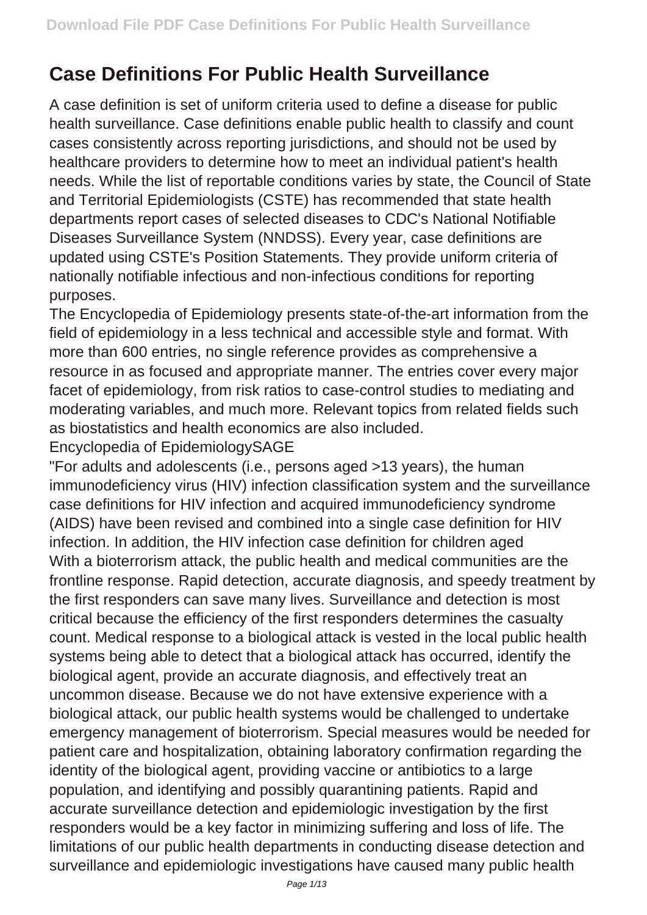## **Case Definitions For Public Health Surveillance**

A case definition is set of uniform criteria used to define a disease for public health surveillance. Case definitions enable public health to classify and count cases consistently across reporting jurisdictions, and should not be used by healthcare providers to determine how to meet an individual patient's health needs. While the list of reportable conditions varies by state, the Council of State and Territorial Epidemiologists (CSTE) has recommended that state health departments report cases of selected diseases to CDC's National Notifiable Diseases Surveillance System (NNDSS). Every year, case definitions are updated using CSTE's Position Statements. They provide uniform criteria of nationally notifiable infectious and non-infectious conditions for reporting purposes.

The Encyclopedia of Epidemiology presents state-of-the-art information from the field of epidemiology in a less technical and accessible style and format. With more than 600 entries, no single reference provides as comprehensive a resource in as focused and appropriate manner. The entries cover every major facet of epidemiology, from risk ratios to case-control studies to mediating and moderating variables, and much more. Relevant topics from related fields such as biostatistics and health economics are also included.

Encyclopedia of EpidemiologySAGE

"For adults and adolescents (i.e., persons aged >13 years), the human immunodeficiency virus (HIV) infection classification system and the surveillance case definitions for HIV infection and acquired immunodeficiency syndrome (AIDS) have been revised and combined into a single case definition for HIV infection. In addition, the HIV infection case definition for children aged With a bioterrorism attack, the public health and medical communities are the frontline response. Rapid detection, accurate diagnosis, and speedy treatment by the first responders can save many lives. Surveillance and detection is most critical because the efficiency of the first responders determines the casualty count. Medical response to a biological attack is vested in the local public health systems being able to detect that a biological attack has occurred, identify the biological agent, provide an accurate diagnosis, and effectively treat an uncommon disease. Because we do not have extensive experience with a biological attack, our public health systems would be challenged to undertake emergency management of bioterrorism. Special measures would be needed for patient care and hospitalization, obtaining laboratory confirmation regarding the identity of the biological agent, providing vaccine or antibiotics to a large population, and identifying and possibly quarantining patients. Rapid and accurate surveillance detection and epidemiologic investigation by the first responders would be a key factor in minimizing suffering and loss of life. The limitations of our public health departments in conducting disease detection and surveillance and epidemiologic investigations have caused many public health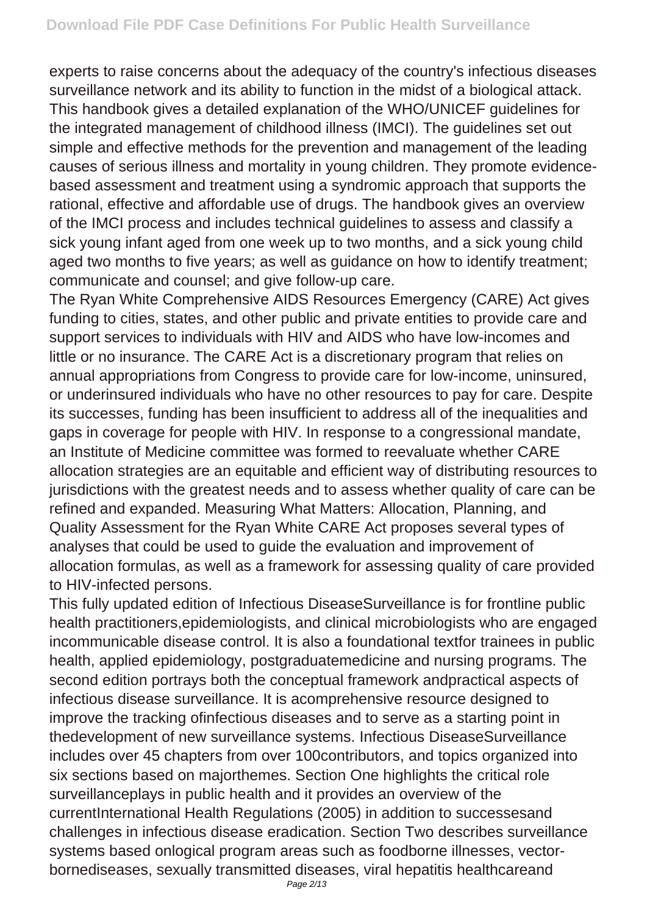experts to raise concerns about the adequacy of the country's infectious diseases surveillance network and its ability to function in the midst of a biological attack. This handbook gives a detailed explanation of the WHO/UNICEF guidelines for the integrated management of childhood illness (IMCI). The guidelines set out simple and effective methods for the prevention and management of the leading causes of serious illness and mortality in young children. They promote evidencebased assessment and treatment using a syndromic approach that supports the rational, effective and affordable use of drugs. The handbook gives an overview of the IMCI process and includes technical guidelines to assess and classify a sick young infant aged from one week up to two months, and a sick young child aged two months to five years; as well as guidance on how to identify treatment; communicate and counsel; and give follow-up care.

The Ryan White Comprehensive AIDS Resources Emergency (CARE) Act gives funding to cities, states, and other public and private entities to provide care and support services to individuals with HIV and AIDS who have low-incomes and little or no insurance. The CARE Act is a discretionary program that relies on annual appropriations from Congress to provide care for low-income, uninsured, or underinsured individuals who have no other resources to pay for care. Despite its successes, funding has been insufficient to address all of the inequalities and gaps in coverage for people with HIV. In response to a congressional mandate, an Institute of Medicine committee was formed to reevaluate whether CARE allocation strategies are an equitable and efficient way of distributing resources to jurisdictions with the greatest needs and to assess whether quality of care can be refined and expanded. Measuring What Matters: Allocation, Planning, and Quality Assessment for the Ryan White CARE Act proposes several types of analyses that could be used to guide the evaluation and improvement of allocation formulas, as well as a framework for assessing quality of care provided to HIV-infected persons.

This fully updated edition of Infectious DiseaseSurveillance is for frontline public health practitioners,epidemiologists, and clinical microbiologists who are engaged incommunicable disease control. It is also a foundational textfor trainees in public health, applied epidemiology, postgraduatemedicine and nursing programs. The second edition portrays both the conceptual framework andpractical aspects of infectious disease surveillance. It is acomprehensive resource designed to improve the tracking ofinfectious diseases and to serve as a starting point in thedevelopment of new surveillance systems. Infectious DiseaseSurveillance includes over 45 chapters from over 100contributors, and topics organized into six sections based on majorthemes. Section One highlights the critical role surveillanceplays in public health and it provides an overview of the currentInternational Health Regulations (2005) in addition to successesand challenges in infectious disease eradication. Section Two describes surveillance systems based onlogical program areas such as foodborne illnesses, vectorbornediseases, sexually transmitted diseases, viral hepatitis healthcareand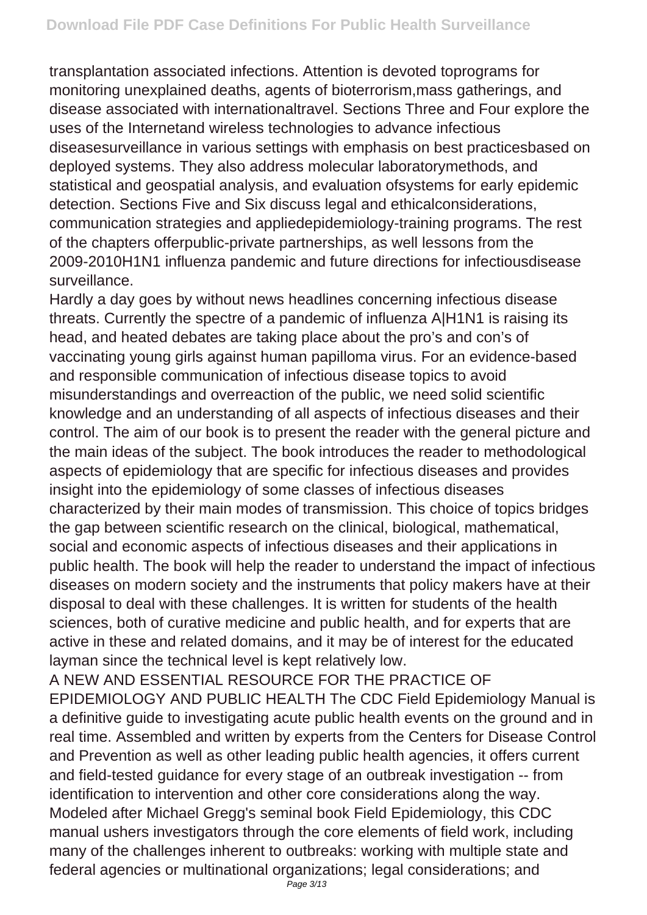transplantation associated infections. Attention is devoted toprograms for monitoring unexplained deaths, agents of bioterrorism,mass gatherings, and disease associated with internationaltravel. Sections Three and Four explore the uses of the Internetand wireless technologies to advance infectious diseasesurveillance in various settings with emphasis on best practicesbased on deployed systems. They also address molecular laboratorymethods, and statistical and geospatial analysis, and evaluation ofsystems for early epidemic detection. Sections Five and Six discuss legal and ethicalconsiderations, communication strategies and appliedepidemiology-training programs. The rest of the chapters offerpublic-private partnerships, as well lessons from the 2009-2010H1N1 influenza pandemic and future directions for infectiousdisease surveillance.

Hardly a day goes by without news headlines concerning infectious disease threats. Currently the spectre of a pandemic of influenza A|H1N1 is raising its head, and heated debates are taking place about the pro's and con's of vaccinating young girls against human papilloma virus. For an evidence-based and responsible communication of infectious disease topics to avoid misunderstandings and overreaction of the public, we need solid scientific knowledge and an understanding of all aspects of infectious diseases and their control. The aim of our book is to present the reader with the general picture and the main ideas of the subject. The book introduces the reader to methodological aspects of epidemiology that are specific for infectious diseases and provides insight into the epidemiology of some classes of infectious diseases characterized by their main modes of transmission. This choice of topics bridges the gap between scientific research on the clinical, biological, mathematical, social and economic aspects of infectious diseases and their applications in public health. The book will help the reader to understand the impact of infectious diseases on modern society and the instruments that policy makers have at their disposal to deal with these challenges. It is written for students of the health sciences, both of curative medicine and public health, and for experts that are active in these and related domains, and it may be of interest for the educated layman since the technical level is kept relatively low.

A NEW AND ESSENTIAL RESOURCE FOR THE PRACTICE OF EPIDEMIOLOGY AND PUBLIC HEALTH The CDC Field Epidemiology Manual is a definitive guide to investigating acute public health events on the ground and in real time. Assembled and written by experts from the Centers for Disease Control and Prevention as well as other leading public health agencies, it offers current and field-tested guidance for every stage of an outbreak investigation -- from identification to intervention and other core considerations along the way. Modeled after Michael Gregg's seminal book Field Epidemiology, this CDC manual ushers investigators through the core elements of field work, including many of the challenges inherent to outbreaks: working with multiple state and federal agencies or multinational organizations; legal considerations; and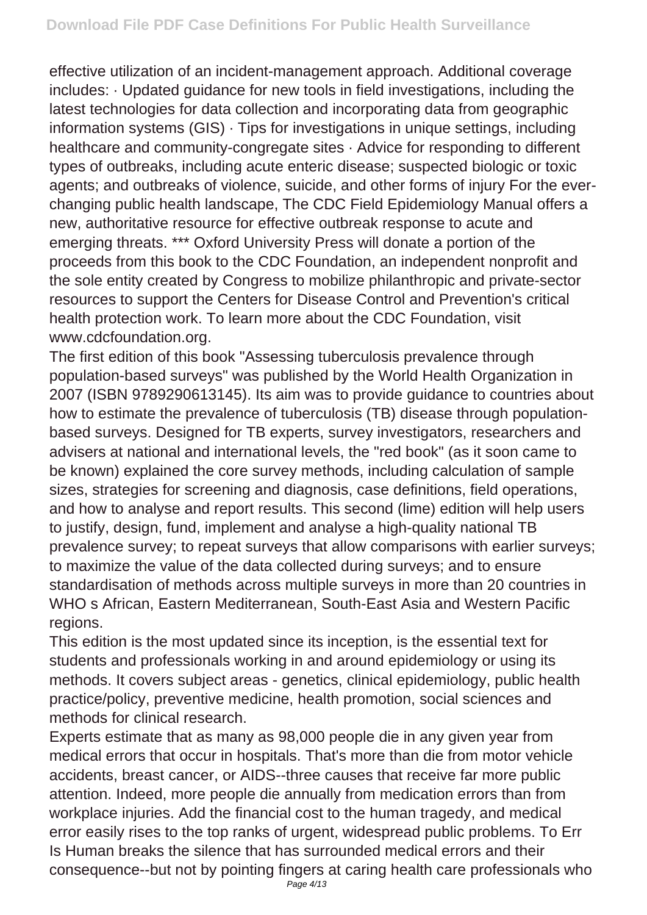effective utilization of an incident-management approach. Additional coverage includes: · Updated guidance for new tools in field investigations, including the latest technologies for data collection and incorporating data from geographic information systems (GIS) · Tips for investigations in unique settings, including healthcare and community-congregate sites · Advice for responding to different types of outbreaks, including acute enteric disease; suspected biologic or toxic agents; and outbreaks of violence, suicide, and other forms of injury For the everchanging public health landscape, The CDC Field Epidemiology Manual offers a new, authoritative resource for effective outbreak response to acute and emerging threats. \*\*\* Oxford University Press will donate a portion of the proceeds from this book to the CDC Foundation, an independent nonprofit and the sole entity created by Congress to mobilize philanthropic and private-sector resources to support the Centers for Disease Control and Prevention's critical health protection work. To learn more about the CDC Foundation, visit www.cdcfoundation.org.

The first edition of this book "Assessing tuberculosis prevalence through population-based surveys" was published by the World Health Organization in 2007 (ISBN 9789290613145). Its aim was to provide guidance to countries about how to estimate the prevalence of tuberculosis (TB) disease through populationbased surveys. Designed for TB experts, survey investigators, researchers and advisers at national and international levels, the "red book" (as it soon came to be known) explained the core survey methods, including calculation of sample sizes, strategies for screening and diagnosis, case definitions, field operations, and how to analyse and report results. This second (lime) edition will help users to justify, design, fund, implement and analyse a high-quality national TB prevalence survey; to repeat surveys that allow comparisons with earlier surveys; to maximize the value of the data collected during surveys; and to ensure standardisation of methods across multiple surveys in more than 20 countries in WHO s African, Eastern Mediterranean, South-East Asia and Western Pacific regions.

This edition is the most updated since its inception, is the essential text for students and professionals working in and around epidemiology or using its methods. It covers subject areas - genetics, clinical epidemiology, public health practice/policy, preventive medicine, health promotion, social sciences and methods for clinical research.

Experts estimate that as many as 98,000 people die in any given year from medical errors that occur in hospitals. That's more than die from motor vehicle accidents, breast cancer, or AIDS--three causes that receive far more public attention. Indeed, more people die annually from medication errors than from workplace injuries. Add the financial cost to the human tragedy, and medical error easily rises to the top ranks of urgent, widespread public problems. To Err Is Human breaks the silence that has surrounded medical errors and their consequence--but not by pointing fingers at caring health care professionals who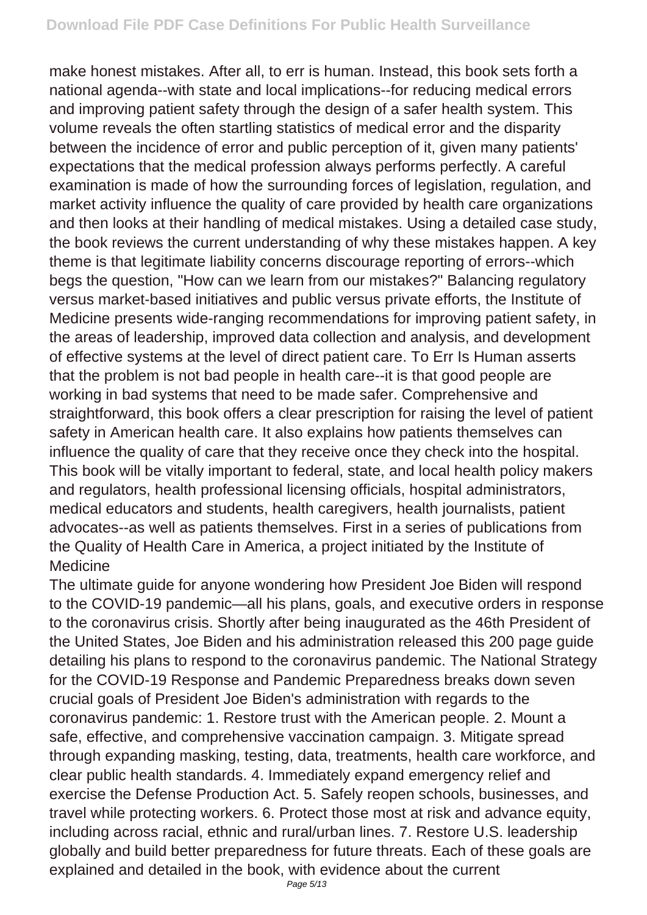make honest mistakes. After all, to err is human. Instead, this book sets forth a national agenda--with state and local implications--for reducing medical errors and improving patient safety through the design of a safer health system. This volume reveals the often startling statistics of medical error and the disparity between the incidence of error and public perception of it, given many patients' expectations that the medical profession always performs perfectly. A careful examination is made of how the surrounding forces of legislation, regulation, and market activity influence the quality of care provided by health care organizations and then looks at their handling of medical mistakes. Using a detailed case study, the book reviews the current understanding of why these mistakes happen. A key theme is that legitimate liability concerns discourage reporting of errors--which begs the question, "How can we learn from our mistakes?" Balancing regulatory versus market-based initiatives and public versus private efforts, the Institute of Medicine presents wide-ranging recommendations for improving patient safety, in the areas of leadership, improved data collection and analysis, and development of effective systems at the level of direct patient care. To Err Is Human asserts that the problem is not bad people in health care--it is that good people are working in bad systems that need to be made safer. Comprehensive and straightforward, this book offers a clear prescription for raising the level of patient safety in American health care. It also explains how patients themselves can influence the quality of care that they receive once they check into the hospital. This book will be vitally important to federal, state, and local health policy makers and regulators, health professional licensing officials, hospital administrators, medical educators and students, health caregivers, health journalists, patient advocates--as well as patients themselves. First in a series of publications from the Quality of Health Care in America, a project initiated by the Institute of **Medicine** 

The ultimate guide for anyone wondering how President Joe Biden will respond to the COVID-19 pandemic—all his plans, goals, and executive orders in response to the coronavirus crisis. Shortly after being inaugurated as the 46th President of the United States, Joe Biden and his administration released this 200 page guide detailing his plans to respond to the coronavirus pandemic. The National Strategy for the COVID-19 Response and Pandemic Preparedness breaks down seven crucial goals of President Joe Biden's administration with regards to the coronavirus pandemic: 1. Restore trust with the American people. 2. Mount a safe, effective, and comprehensive vaccination campaign. 3. Mitigate spread through expanding masking, testing, data, treatments, health care workforce, and clear public health standards. 4. Immediately expand emergency relief and exercise the Defense Production Act. 5. Safely reopen schools, businesses, and travel while protecting workers. 6. Protect those most at risk and advance equity, including across racial, ethnic and rural/urban lines. 7. Restore U.S. leadership globally and build better preparedness for future threats. Each of these goals are explained and detailed in the book, with evidence about the current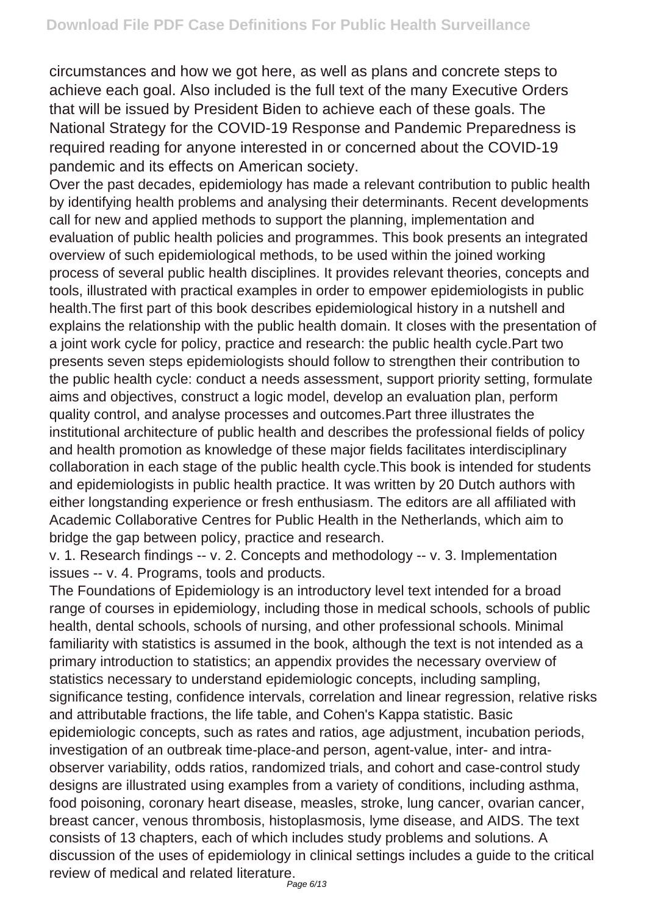circumstances and how we got here, as well as plans and concrete steps to achieve each goal. Also included is the full text of the many Executive Orders that will be issued by President Biden to achieve each of these goals. The National Strategy for the COVID-19 Response and Pandemic Preparedness is required reading for anyone interested in or concerned about the COVID-19 pandemic and its effects on American society.

Over the past decades, epidemiology has made a relevant contribution to public health by identifying health problems and analysing their determinants. Recent developments call for new and applied methods to support the planning, implementation and evaluation of public health policies and programmes. This book presents an integrated overview of such epidemiological methods, to be used within the joined working process of several public health disciplines. It provides relevant theories, concepts and tools, illustrated with practical examples in order to empower epidemiologists in public health.The first part of this book describes epidemiological history in a nutshell and explains the relationship with the public health domain. It closes with the presentation of a joint work cycle for policy, practice and research: the public health cycle.Part two presents seven steps epidemiologists should follow to strengthen their contribution to the public health cycle: conduct a needs assessment, support priority setting, formulate aims and objectives, construct a logic model, develop an evaluation plan, perform quality control, and analyse processes and outcomes.Part three illustrates the institutional architecture of public health and describes the professional fields of policy and health promotion as knowledge of these major fields facilitates interdisciplinary collaboration in each stage of the public health cycle.This book is intended for students and epidemiologists in public health practice. It was written by 20 Dutch authors with either longstanding experience or fresh enthusiasm. The editors are all affiliated with Academic Collaborative Centres for Public Health in the Netherlands, which aim to bridge the gap between policy, practice and research.

v. 1. Research findings -- v. 2. Concepts and methodology -- v. 3. Implementation issues -- v. 4. Programs, tools and products.

The Foundations of Epidemiology is an introductory level text intended for a broad range of courses in epidemiology, including those in medical schools, schools of public health, dental schools, schools of nursing, and other professional schools. Minimal familiarity with statistics is assumed in the book, although the text is not intended as a primary introduction to statistics; an appendix provides the necessary overview of statistics necessary to understand epidemiologic concepts, including sampling, significance testing, confidence intervals, correlation and linear regression, relative risks and attributable fractions, the life table, and Cohen's Kappa statistic. Basic epidemiologic concepts, such as rates and ratios, age adjustment, incubation periods, investigation of an outbreak time-place-and person, agent-value, inter- and intraobserver variability, odds ratios, randomized trials, and cohort and case-control study designs are illustrated using examples from a variety of conditions, including asthma, food poisoning, coronary heart disease, measles, stroke, lung cancer, ovarian cancer, breast cancer, venous thrombosis, histoplasmosis, lyme disease, and AIDS. The text consists of 13 chapters, each of which includes study problems and solutions. A discussion of the uses of epidemiology in clinical settings includes a guide to the critical review of medical and related literature.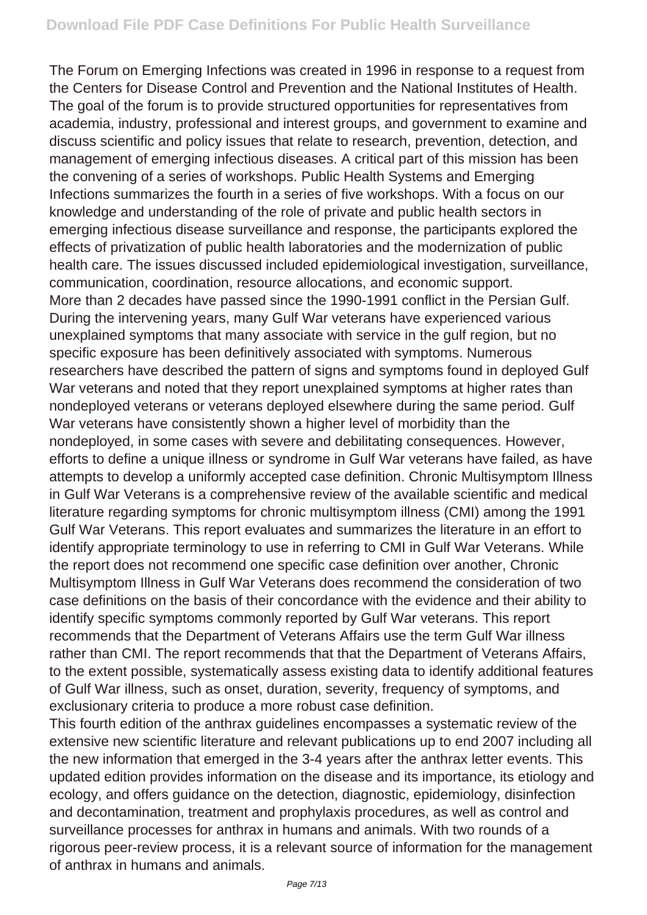The Forum on Emerging Infections was created in 1996 in response to a request from the Centers for Disease Control and Prevention and the National Institutes of Health. The goal of the forum is to provide structured opportunities for representatives from academia, industry, professional and interest groups, and government to examine and discuss scientific and policy issues that relate to research, prevention, detection, and management of emerging infectious diseases. A critical part of this mission has been the convening of a series of workshops. Public Health Systems and Emerging Infections summarizes the fourth in a series of five workshops. With a focus on our knowledge and understanding of the role of private and public health sectors in emerging infectious disease surveillance and response, the participants explored the effects of privatization of public health laboratories and the modernization of public health care. The issues discussed included epidemiological investigation, surveillance, communication, coordination, resource allocations, and economic support. More than 2 decades have passed since the 1990-1991 conflict in the Persian Gulf. During the intervening years, many Gulf War veterans have experienced various unexplained symptoms that many associate with service in the gulf region, but no specific exposure has been definitively associated with symptoms. Numerous researchers have described the pattern of signs and symptoms found in deployed Gulf War veterans and noted that they report unexplained symptoms at higher rates than nondeployed veterans or veterans deployed elsewhere during the same period. Gulf War veterans have consistently shown a higher level of morbidity than the nondeployed, in some cases with severe and debilitating consequences. However, efforts to define a unique illness or syndrome in Gulf War veterans have failed, as have attempts to develop a uniformly accepted case definition. Chronic Multisymptom Illness in Gulf War Veterans is a comprehensive review of the available scientific and medical literature regarding symptoms for chronic multisymptom illness (CMI) among the 1991 Gulf War Veterans. This report evaluates and summarizes the literature in an effort to identify appropriate terminology to use in referring to CMI in Gulf War Veterans. While the report does not recommend one specific case definition over another, Chronic Multisymptom Illness in Gulf War Veterans does recommend the consideration of two case definitions on the basis of their concordance with the evidence and their ability to identify specific symptoms commonly reported by Gulf War veterans. This report recommends that the Department of Veterans Affairs use the term Gulf War illness rather than CMI. The report recommends that that the Department of Veterans Affairs, to the extent possible, systematically assess existing data to identify additional features of Gulf War illness, such as onset, duration, severity, frequency of symptoms, and exclusionary criteria to produce a more robust case definition.

This fourth edition of the anthrax guidelines encompasses a systematic review of the extensive new scientific literature and relevant publications up to end 2007 including all the new information that emerged in the 3-4 years after the anthrax letter events. This updated edition provides information on the disease and its importance, its etiology and ecology, and offers guidance on the detection, diagnostic, epidemiology, disinfection and decontamination, treatment and prophylaxis procedures, as well as control and surveillance processes for anthrax in humans and animals. With two rounds of a rigorous peer-review process, it is a relevant source of information for the management of anthrax in humans and animals.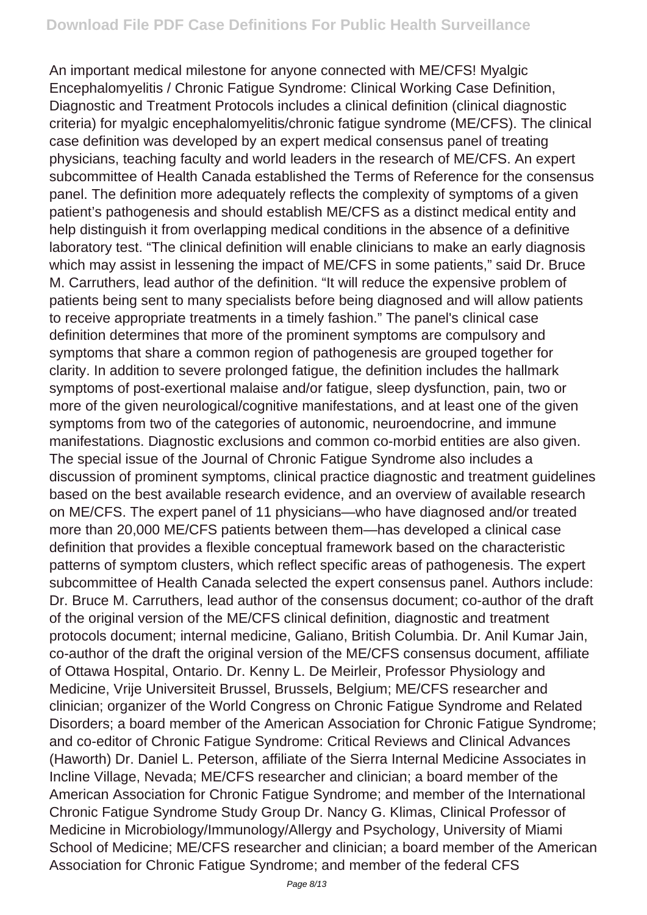An important medical milestone for anyone connected with ME/CFS! Myalgic Encephalomyelitis / Chronic Fatigue Syndrome: Clinical Working Case Definition, Diagnostic and Treatment Protocols includes a clinical definition (clinical diagnostic criteria) for myalgic encephalomyelitis/chronic fatigue syndrome (ME/CFS). The clinical case definition was developed by an expert medical consensus panel of treating physicians, teaching faculty and world leaders in the research of ME/CFS. An expert subcommittee of Health Canada established the Terms of Reference for the consensus panel. The definition more adequately reflects the complexity of symptoms of a given patient's pathogenesis and should establish ME/CFS as a distinct medical entity and help distinguish it from overlapping medical conditions in the absence of a definitive laboratory test. "The clinical definition will enable clinicians to make an early diagnosis which may assist in lessening the impact of ME/CFS in some patients," said Dr. Bruce M. Carruthers, lead author of the definition. "It will reduce the expensive problem of patients being sent to many specialists before being diagnosed and will allow patients to receive appropriate treatments in a timely fashion." The panel's clinical case definition determines that more of the prominent symptoms are compulsory and symptoms that share a common region of pathogenesis are grouped together for clarity. In addition to severe prolonged fatigue, the definition includes the hallmark symptoms of post-exertional malaise and/or fatigue, sleep dysfunction, pain, two or more of the given neurological/cognitive manifestations, and at least one of the given symptoms from two of the categories of autonomic, neuroendocrine, and immune manifestations. Diagnostic exclusions and common co-morbid entities are also given. The special issue of the Journal of Chronic Fatigue Syndrome also includes a discussion of prominent symptoms, clinical practice diagnostic and treatment guidelines based on the best available research evidence, and an overview of available research on ME/CFS. The expert panel of 11 physicians—who have diagnosed and/or treated more than 20,000 ME/CFS patients between them—has developed a clinical case definition that provides a flexible conceptual framework based on the characteristic patterns of symptom clusters, which reflect specific areas of pathogenesis. The expert subcommittee of Health Canada selected the expert consensus panel. Authors include: Dr. Bruce M. Carruthers, lead author of the consensus document; co-author of the draft of the original version of the ME/CFS clinical definition, diagnostic and treatment protocols document; internal medicine, Galiano, British Columbia. Dr. Anil Kumar Jain, co-author of the draft the original version of the ME/CFS consensus document, affiliate of Ottawa Hospital, Ontario. Dr. Kenny L. De Meirleir, Professor Physiology and Medicine, Vrije Universiteit Brussel, Brussels, Belgium; ME/CFS researcher and clinician; organizer of the World Congress on Chronic Fatigue Syndrome and Related Disorders; a board member of the American Association for Chronic Fatigue Syndrome; and co-editor of Chronic Fatigue Syndrome: Critical Reviews and Clinical Advances (Haworth) Dr. Daniel L. Peterson, affiliate of the Sierra Internal Medicine Associates in Incline Village, Nevada; ME/CFS researcher and clinician; a board member of the American Association for Chronic Fatigue Syndrome; and member of the International Chronic Fatigue Syndrome Study Group Dr. Nancy G. Klimas, Clinical Professor of Medicine in Microbiology/Immunology/Allergy and Psychology, University of Miami School of Medicine; ME/CFS researcher and clinician; a board member of the American Association for Chronic Fatigue Syndrome; and member of the federal CFS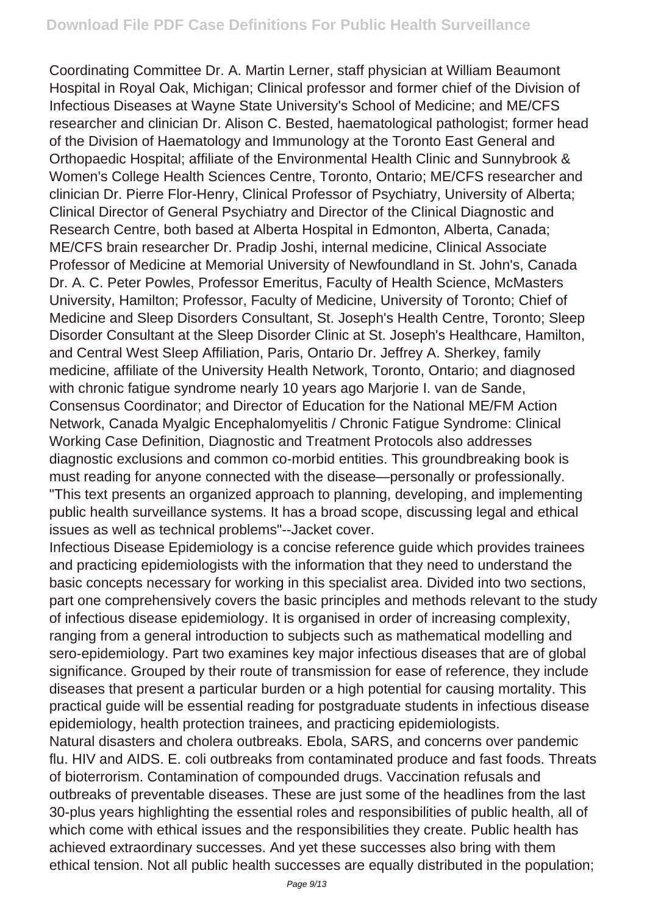Coordinating Committee Dr. A. Martin Lerner, staff physician at William Beaumont Hospital in Royal Oak, Michigan; Clinical professor and former chief of the Division of Infectious Diseases at Wayne State University's School of Medicine; and ME/CFS researcher and clinician Dr. Alison C. Bested, haematological pathologist; former head of the Division of Haematology and Immunology at the Toronto East General and Orthopaedic Hospital; affiliate of the Environmental Health Clinic and Sunnybrook & Women's College Health Sciences Centre, Toronto, Ontario; ME/CFS researcher and clinician Dr. Pierre Flor-Henry, Clinical Professor of Psychiatry, University of Alberta; Clinical Director of General Psychiatry and Director of the Clinical Diagnostic and Research Centre, both based at Alberta Hospital in Edmonton, Alberta, Canada; ME/CFS brain researcher Dr. Pradip Joshi, internal medicine, Clinical Associate Professor of Medicine at Memorial University of Newfoundland in St. John's, Canada Dr. A. C. Peter Powles, Professor Emeritus, Faculty of Health Science, McMasters University, Hamilton; Professor, Faculty of Medicine, University of Toronto; Chief of Medicine and Sleep Disorders Consultant, St. Joseph's Health Centre, Toronto; Sleep Disorder Consultant at the Sleep Disorder Clinic at St. Joseph's Healthcare, Hamilton, and Central West Sleep Affiliation, Paris, Ontario Dr. Jeffrey A. Sherkey, family medicine, affiliate of the University Health Network, Toronto, Ontario; and diagnosed with chronic fatigue syndrome nearly 10 years ago Marjorie I. van de Sande, Consensus Coordinator; and Director of Education for the National ME/FM Action Network, Canada Myalgic Encephalomyelitis / Chronic Fatigue Syndrome: Clinical Working Case Definition, Diagnostic and Treatment Protocols also addresses diagnostic exclusions and common co-morbid entities. This groundbreaking book is must reading for anyone connected with the disease—personally or professionally. "This text presents an organized approach to planning, developing, and implementing public health surveillance systems. It has a broad scope, discussing legal and ethical issues as well as technical problems"--Jacket cover.

Infectious Disease Epidemiology is a concise reference guide which provides trainees and practicing epidemiologists with the information that they need to understand the basic concepts necessary for working in this specialist area. Divided into two sections, part one comprehensively covers the basic principles and methods relevant to the study of infectious disease epidemiology. It is organised in order of increasing complexity, ranging from a general introduction to subjects such as mathematical modelling and sero-epidemiology. Part two examines key major infectious diseases that are of global significance. Grouped by their route of transmission for ease of reference, they include diseases that present a particular burden or a high potential for causing mortality. This practical guide will be essential reading for postgraduate students in infectious disease epidemiology, health protection trainees, and practicing epidemiologists.

Natural disasters and cholera outbreaks. Ebola, SARS, and concerns over pandemic flu. HIV and AIDS. E. coli outbreaks from contaminated produce and fast foods. Threats of bioterrorism. Contamination of compounded drugs. Vaccination refusals and outbreaks of preventable diseases. These are just some of the headlines from the last 30-plus years highlighting the essential roles and responsibilities of public health, all of which come with ethical issues and the responsibilities they create. Public health has achieved extraordinary successes. And yet these successes also bring with them ethical tension. Not all public health successes are equally distributed in the population;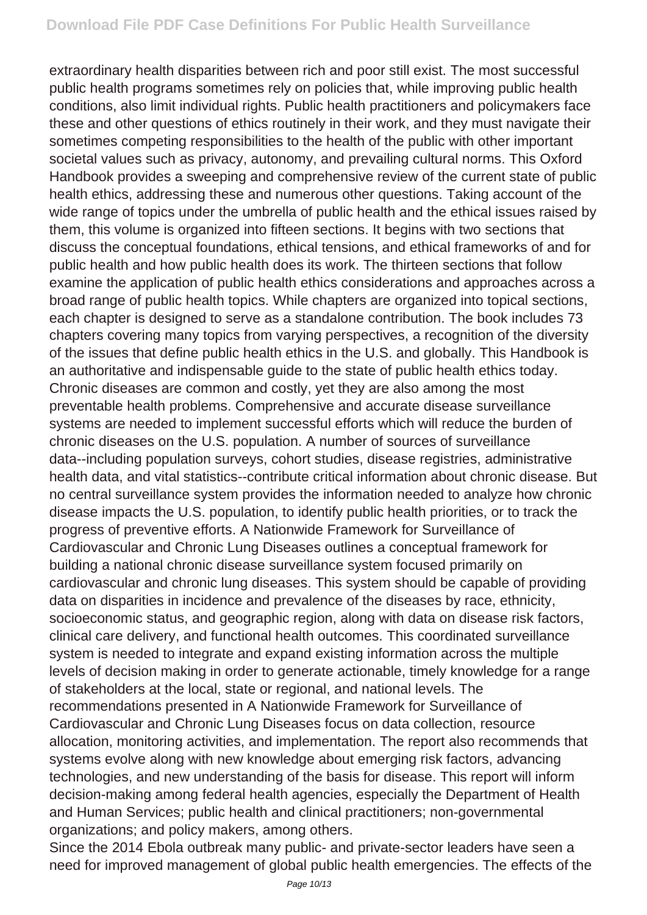extraordinary health disparities between rich and poor still exist. The most successful public health programs sometimes rely on policies that, while improving public health conditions, also limit individual rights. Public health practitioners and policymakers face these and other questions of ethics routinely in their work, and they must navigate their sometimes competing responsibilities to the health of the public with other important societal values such as privacy, autonomy, and prevailing cultural norms. This Oxford Handbook provides a sweeping and comprehensive review of the current state of public health ethics, addressing these and numerous other questions. Taking account of the wide range of topics under the umbrella of public health and the ethical issues raised by them, this volume is organized into fifteen sections. It begins with two sections that discuss the conceptual foundations, ethical tensions, and ethical frameworks of and for public health and how public health does its work. The thirteen sections that follow examine the application of public health ethics considerations and approaches across a broad range of public health topics. While chapters are organized into topical sections, each chapter is designed to serve as a standalone contribution. The book includes 73 chapters covering many topics from varying perspectives, a recognition of the diversity of the issues that define public health ethics in the U.S. and globally. This Handbook is an authoritative and indispensable guide to the state of public health ethics today. Chronic diseases are common and costly, yet they are also among the most preventable health problems. Comprehensive and accurate disease surveillance systems are needed to implement successful efforts which will reduce the burden of chronic diseases on the U.S. population. A number of sources of surveillance data--including population surveys, cohort studies, disease registries, administrative health data, and vital statistics--contribute critical information about chronic disease. But no central surveillance system provides the information needed to analyze how chronic disease impacts the U.S. population, to identify public health priorities, or to track the progress of preventive efforts. A Nationwide Framework for Surveillance of Cardiovascular and Chronic Lung Diseases outlines a conceptual framework for building a national chronic disease surveillance system focused primarily on cardiovascular and chronic lung diseases. This system should be capable of providing data on disparities in incidence and prevalence of the diseases by race, ethnicity, socioeconomic status, and geographic region, along with data on disease risk factors, clinical care delivery, and functional health outcomes. This coordinated surveillance system is needed to integrate and expand existing information across the multiple levels of decision making in order to generate actionable, timely knowledge for a range of stakeholders at the local, state or regional, and national levels. The recommendations presented in A Nationwide Framework for Surveillance of Cardiovascular and Chronic Lung Diseases focus on data collection, resource allocation, monitoring activities, and implementation. The report also recommends that systems evolve along with new knowledge about emerging risk factors, advancing technologies, and new understanding of the basis for disease. This report will inform decision-making among federal health agencies, especially the Department of Health and Human Services; public health and clinical practitioners; non-governmental organizations; and policy makers, among others.

Since the 2014 Ebola outbreak many public- and private-sector leaders have seen a need for improved management of global public health emergencies. The effects of the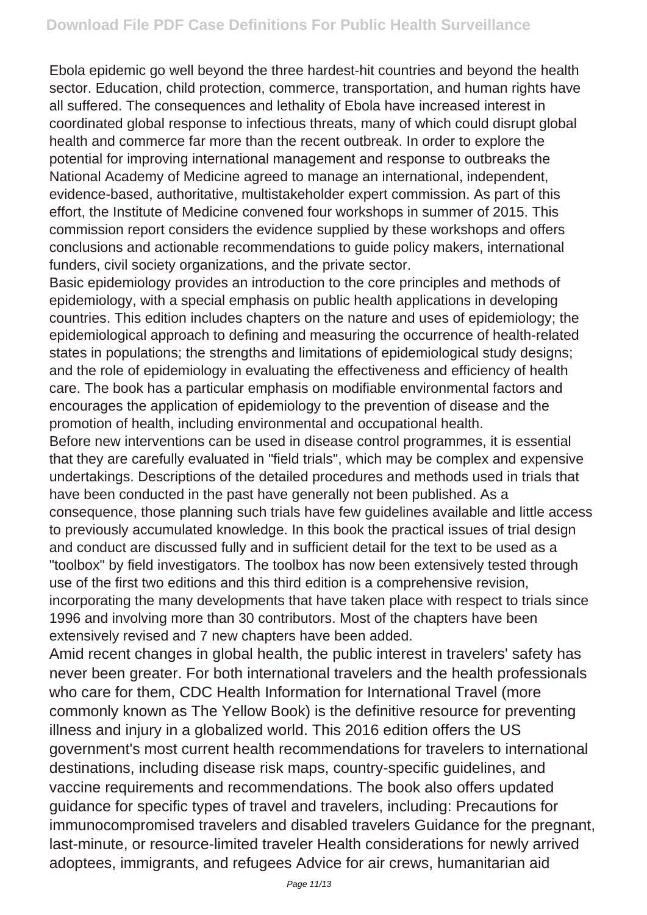Ebola epidemic go well beyond the three hardest-hit countries and beyond the health sector. Education, child protection, commerce, transportation, and human rights have all suffered. The consequences and lethality of Ebola have increased interest in coordinated global response to infectious threats, many of which could disrupt global health and commerce far more than the recent outbreak. In order to explore the potential for improving international management and response to outbreaks the National Academy of Medicine agreed to manage an international, independent, evidence-based, authoritative, multistakeholder expert commission. As part of this effort, the Institute of Medicine convened four workshops in summer of 2015. This commission report considers the evidence supplied by these workshops and offers conclusions and actionable recommendations to guide policy makers, international funders, civil society organizations, and the private sector.

Basic epidemiology provides an introduction to the core principles and methods of epidemiology, with a special emphasis on public health applications in developing countries. This edition includes chapters on the nature and uses of epidemiology; the epidemiological approach to defining and measuring the occurrence of health-related states in populations; the strengths and limitations of epidemiological study designs; and the role of epidemiology in evaluating the effectiveness and efficiency of health care. The book has a particular emphasis on modifiable environmental factors and encourages the application of epidemiology to the prevention of disease and the promotion of health, including environmental and occupational health.

Before new interventions can be used in disease control programmes, it is essential that they are carefully evaluated in "field trials", which may be complex and expensive undertakings. Descriptions of the detailed procedures and methods used in trials that have been conducted in the past have generally not been published. As a consequence, those planning such trials have few guidelines available and little access to previously accumulated knowledge. In this book the practical issues of trial design and conduct are discussed fully and in sufficient detail for the text to be used as a "toolbox" by field investigators. The toolbox has now been extensively tested through use of the first two editions and this third edition is a comprehensive revision, incorporating the many developments that have taken place with respect to trials since 1996 and involving more than 30 contributors. Most of the chapters have been extensively revised and 7 new chapters have been added.

Amid recent changes in global health, the public interest in travelers' safety has never been greater. For both international travelers and the health professionals who care for them, CDC Health Information for International Travel (more commonly known as The Yellow Book) is the definitive resource for preventing illness and injury in a globalized world. This 2016 edition offers the US government's most current health recommendations for travelers to international destinations, including disease risk maps, country-specific guidelines, and vaccine requirements and recommendations. The book also offers updated guidance for specific types of travel and travelers, including: Precautions for immunocompromised travelers and disabled travelers Guidance for the pregnant, last-minute, or resource-limited traveler Health considerations for newly arrived adoptees, immigrants, and refugees Advice for air crews, humanitarian aid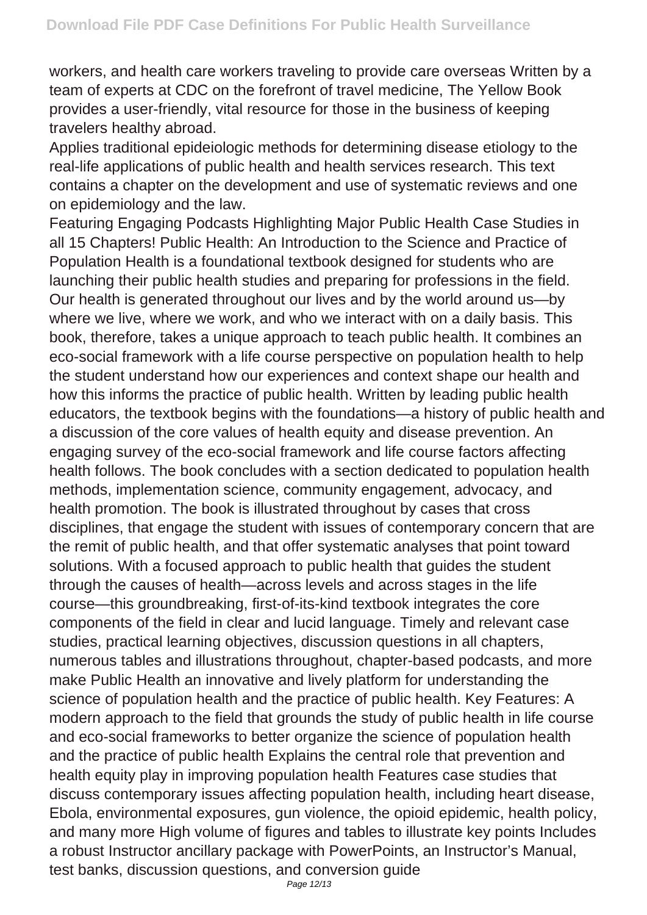workers, and health care workers traveling to provide care overseas Written by a team of experts at CDC on the forefront of travel medicine, The Yellow Book provides a user-friendly, vital resource for those in the business of keeping travelers healthy abroad.

Applies traditional epideiologic methods for determining disease etiology to the real-life applications of public health and health services research. This text contains a chapter on the development and use of systematic reviews and one on epidemiology and the law.

Featuring Engaging Podcasts Highlighting Major Public Health Case Studies in all 15 Chapters! Public Health: An Introduction to the Science and Practice of Population Health is a foundational textbook designed for students who are launching their public health studies and preparing for professions in the field. Our health is generated throughout our lives and by the world around us—by where we live, where we work, and who we interact with on a daily basis. This book, therefore, takes a unique approach to teach public health. It combines an eco-social framework with a life course perspective on population health to help the student understand how our experiences and context shape our health and how this informs the practice of public health. Written by leading public health educators, the textbook begins with the foundations—a history of public health and a discussion of the core values of health equity and disease prevention. An engaging survey of the eco-social framework and life course factors affecting health follows. The book concludes with a section dedicated to population health methods, implementation science, community engagement, advocacy, and health promotion. The book is illustrated throughout by cases that cross disciplines, that engage the student with issues of contemporary concern that are the remit of public health, and that offer systematic analyses that point toward solutions. With a focused approach to public health that guides the student through the causes of health—across levels and across stages in the life course—this groundbreaking, first-of-its-kind textbook integrates the core components of the field in clear and lucid language. Timely and relevant case studies, practical learning objectives, discussion questions in all chapters, numerous tables and illustrations throughout, chapter-based podcasts, and more make Public Health an innovative and lively platform for understanding the science of population health and the practice of public health. Key Features: A modern approach to the field that grounds the study of public health in life course and eco-social frameworks to better organize the science of population health and the practice of public health Explains the central role that prevention and health equity play in improving population health Features case studies that discuss contemporary issues affecting population health, including heart disease, Ebola, environmental exposures, gun violence, the opioid epidemic, health policy, and many more High volume of figures and tables to illustrate key points Includes a robust Instructor ancillary package with PowerPoints, an Instructor's Manual, test banks, discussion questions, and conversion guide